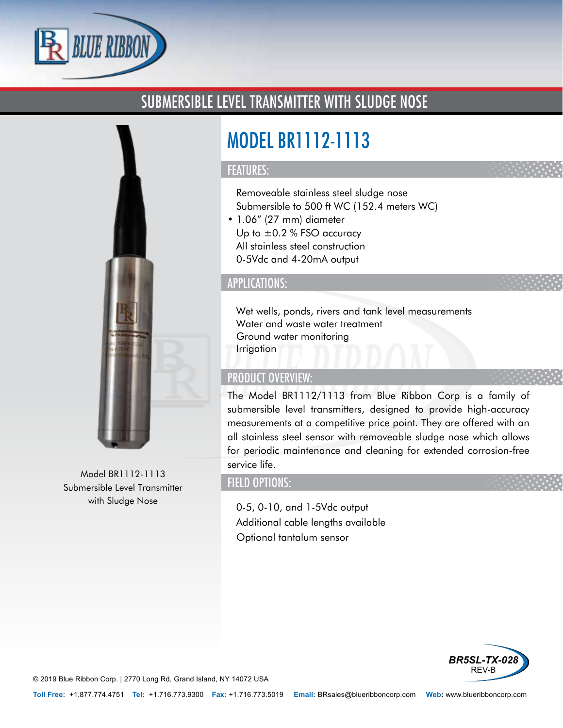

# SUBMERSIBLE LEVEL TRANSMITTER WITH SLUDGE NOSE



Model BR1112-1113 Submersible Level Transmitter with Sludge Nose

# MODEL BR1112-1113

#### FEATURES:

- Removeable stainless steel sludge nose
- Submersible to 500 ft WC (152.4 meters WC)
- 1.06" (27 mm) diameter
- Up to  $\pm 0.2$  % FSO accuracy
- All stainless steel construction
- 0-5Vdc and 4-20mA output

## APPLICATIONS:

- Wet wells, ponds, rivers and tank level measurements
- Water and waste water treatment
- Ground water monitoring
- Irrigation

#### PRODUCT OVERVIEW:

The Model BR1112/1113 from Blue Ribbon Corp is a family of submersible level transmitters, designed to provide high-accuracy measurements at a competitive price point. They are offered with an all stainless steel sensor with removeable sludge nose which allows for periodic maintenance and cleaning for extended corrosion-free service life.

# FIELD OPTIONS:

- 0-5, 0-10, and 1-5Vdc output
- Additional cable lengths available
- Optional tantalum sensor



© 2019 Blue Ribbon Corp. *<sup>|</sup>* 2770 Long Rd, Grand Island, NY 14072 USA